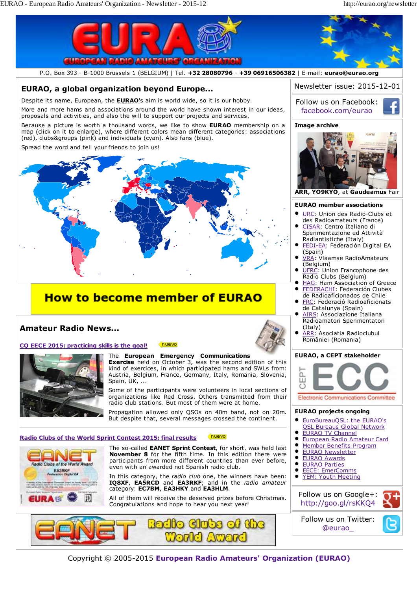